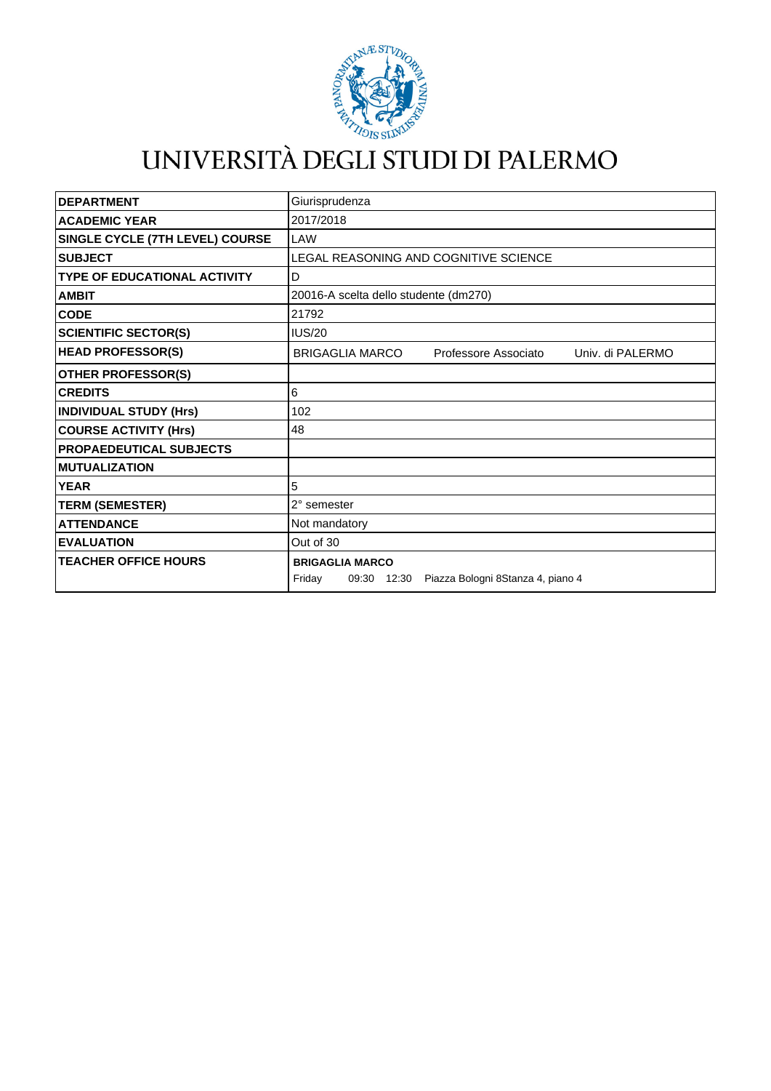

## UNIVERSITÀ DEGLI STUDI DI PALERMO

| <b>DEPARTMENT</b>                   | Giurisprudenza                                                                    |
|-------------------------------------|-----------------------------------------------------------------------------------|
| <b>ACADEMIC YEAR</b>                | 2017/2018                                                                         |
| SINGLE CYCLE (7TH LEVEL) COURSE     | LAW                                                                               |
| <b>SUBJECT</b>                      | LEGAL REASONING AND COGNITIVE SCIENCE                                             |
| <b>TYPE OF EDUCATIONAL ACTIVITY</b> | D                                                                                 |
| <b>AMBIT</b>                        | 20016-A scelta dello studente (dm270)                                             |
| <b>CODE</b>                         | 21792                                                                             |
| <b>SCIENTIFIC SECTOR(S)</b>         | <b>IUS/20</b>                                                                     |
| <b>HEAD PROFESSOR(S)</b>            | <b>BRIGAGLIA MARCO</b><br>Professore Associato<br>Univ. di PALERMO                |
| <b>OTHER PROFESSOR(S)</b>           |                                                                                   |
| <b>CREDITS</b>                      | 6                                                                                 |
| <b>INDIVIDUAL STUDY (Hrs)</b>       | 102                                                                               |
| <b>COURSE ACTIVITY (Hrs)</b>        | 48                                                                                |
| <b>PROPAEDEUTICAL SUBJECTS</b>      |                                                                                   |
| <b>MUTUALIZATION</b>                |                                                                                   |
| <b>YEAR</b>                         | 5                                                                                 |
| <b>TERM (SEMESTER)</b>              | 2° semester                                                                       |
| <b>ATTENDANCE</b>                   | Not mandatory                                                                     |
| <b>EVALUATION</b>                   | Out of 30                                                                         |
| <b>TEACHER OFFICE HOURS</b>         | <b>BRIGAGLIA MARCO</b><br>09:30 12:30 Piazza Bologni 8Stanza 4, piano 4<br>Friday |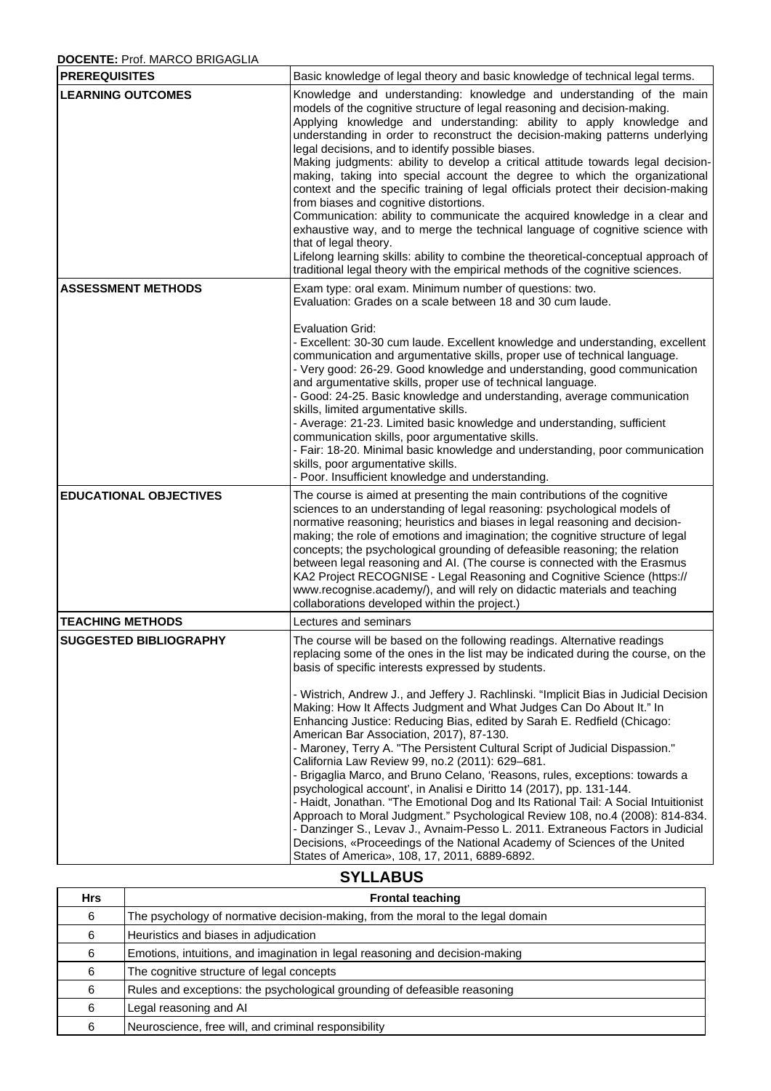## **DOCENTE:** Prof. MARCO BRIGAGLIA

| <b>PREREQUISITES</b>          | Basic knowledge of legal theory and basic knowledge of technical legal terms.                                                                                                                                                                                                                                                                                                                                                                                                                                                                                                                                                                                                                                                                                                                                                                                                                                                                                                                                                                                                                                                                                                               |
|-------------------------------|---------------------------------------------------------------------------------------------------------------------------------------------------------------------------------------------------------------------------------------------------------------------------------------------------------------------------------------------------------------------------------------------------------------------------------------------------------------------------------------------------------------------------------------------------------------------------------------------------------------------------------------------------------------------------------------------------------------------------------------------------------------------------------------------------------------------------------------------------------------------------------------------------------------------------------------------------------------------------------------------------------------------------------------------------------------------------------------------------------------------------------------------------------------------------------------------|
| <b>LEARNING OUTCOMES</b>      | Knowledge and understanding: knowledge and understanding of the main<br>models of the cognitive structure of legal reasoning and decision-making.<br>Applying knowledge and understanding: ability to apply knowledge and<br>understanding in order to reconstruct the decision-making patterns underlying<br>legal decisions, and to identify possible biases.<br>Making judgments: ability to develop a critical attitude towards legal decision-<br>making, taking into special account the degree to which the organizational<br>context and the specific training of legal officials protect their decision-making<br>from biases and cognitive distortions.<br>Communication: ability to communicate the acquired knowledge in a clear and<br>exhaustive way, and to merge the technical language of cognitive science with<br>that of legal theory.<br>Lifelong learning skills: ability to combine the theoretical-conceptual approach of<br>traditional legal theory with the empirical methods of the cognitive sciences.                                                                                                                                                         |
| <b>ASSESSMENT METHODS</b>     | Exam type: oral exam. Minimum number of questions: two.<br>Evaluation: Grades on a scale between 18 and 30 cum laude.<br><b>Evaluation Grid:</b><br>- Excellent: 30-30 cum laude. Excellent knowledge and understanding, excellent<br>communication and argumentative skills, proper use of technical language.<br>- Very good: 26-29. Good knowledge and understanding, good communication<br>and argumentative skills, proper use of technical language.<br>- Good: 24-25. Basic knowledge and understanding, average communication<br>skills, limited argumentative skills.<br>- Average: 21-23. Limited basic knowledge and understanding, sufficient<br>communication skills, poor argumentative skills.<br>- Fair: 18-20. Minimal basic knowledge and understanding, poor communication<br>skills, poor argumentative skills.<br>- Poor. Insufficient knowledge and understanding.                                                                                                                                                                                                                                                                                                    |
| <b>EDUCATIONAL OBJECTIVES</b> | The course is aimed at presenting the main contributions of the cognitive<br>sciences to an understanding of legal reasoning: psychological models of<br>normative reasoning; heuristics and biases in legal reasoning and decision-<br>making; the role of emotions and imagination; the cognitive structure of legal<br>concepts; the psychological grounding of defeasible reasoning; the relation<br>between legal reasoning and AI. (The course is connected with the Erasmus<br>KA2 Project RECOGNISE - Legal Reasoning and Cognitive Science (https://<br>www.recognise.academy/), and will rely on didactic materials and teaching<br>collaborations developed within the project.)                                                                                                                                                                                                                                                                                                                                                                                                                                                                                                 |
| <b>TEACHING METHODS</b>       | Lectures and seminars                                                                                                                                                                                                                                                                                                                                                                                                                                                                                                                                                                                                                                                                                                                                                                                                                                                                                                                                                                                                                                                                                                                                                                       |
| <b>SUGGESTED BIBLIOGRAPHY</b> | The course will be based on the following readings. Alternative readings<br>replacing some of the ones in the list may be indicated during the course, on the<br>basis of specific interests expressed by students.<br>- Wistrich, Andrew J., and Jeffery J. Rachlinski. "Implicit Bias in Judicial Decision<br>Making: How It Affects Judgment and What Judges Can Do About It." In<br>Enhancing Justice: Reducing Bias, edited by Sarah E. Redfield (Chicago:<br>American Bar Association, 2017), 87-130.<br>- Maroney, Terry A. "The Persistent Cultural Script of Judicial Dispassion."<br>California Law Review 99, no.2 (2011): 629-681.<br>- Brigaglia Marco, and Bruno Celano, 'Reasons, rules, exceptions: towards a<br>psychological account', in Analisi e Diritto 14 (2017), pp. 131-144.<br>- Haidt, Jonathan. "The Emotional Dog and Its Rational Tail: A Social Intuitionist<br>Approach to Moral Judgment." Psychological Review 108, no.4 (2008): 814-834.<br>- Danzinger S., Levav J., Avnaim-Pesso L. 2011. Extraneous Factors in Judicial<br>Decisions, «Proceedings of the National Academy of Sciences of the United<br>States of America», 108, 17, 2011, 6889-6892. |

## **SYLLABUS**

| <b>Hrs</b> | <b>Frontal teaching</b>                                                         |
|------------|---------------------------------------------------------------------------------|
| 6          | The psychology of normative decision-making, from the moral to the legal domain |
| 6          | Heuristics and biases in adjudication                                           |
| 6          | Emotions, intuitions, and imagination in legal reasoning and decision-making    |
| 6          | The cognitive structure of legal concepts                                       |
| 6          | Rules and exceptions: the psychological grounding of defeasible reasoning       |
| 6          | Legal reasoning and AI                                                          |
|            | Neuroscience, free will, and criminal responsibility                            |